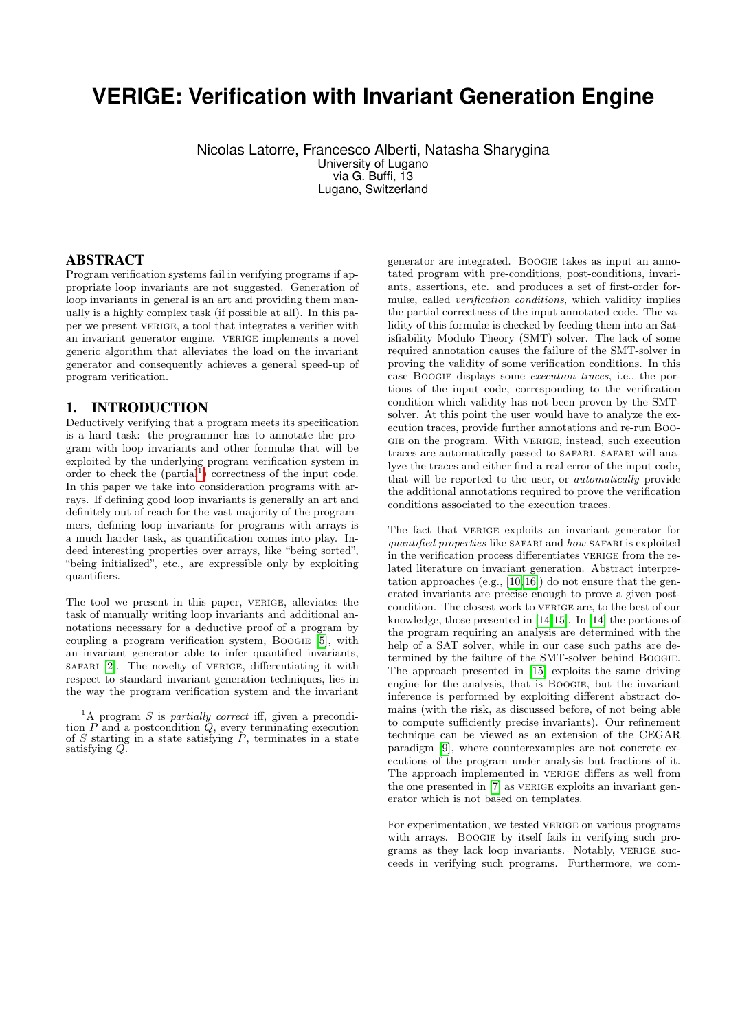# **VERIGE: Verification with Invariant Generation Engine**

Nicolas Latorre, Francesco Alberti, Natasha Sharygina University of Lugano via G. Buffi, 13 Lugano, Switzerland

## ABSTRACT

Program verification systems fail in verifying programs if appropriate loop invariants are not suggested. Generation of loop invariants in general is an art and providing them manually is a highly complex task (if possible at all). In this paper we present VERIGE, a tool that integrates a verifier with an invariant generator engine. verige implements a novel generic algorithm that alleviates the load on the invariant generator and consequently achieves a general speed-up of program verification.

## 1. INTRODUCTION

Deductively verifying that a program meets its specification is a hard task: the programmer has to annotate the program with loop invariants and other formulæ that will be exploited by the underlying program verification system in order to check the  $(partial<sup>1</sup>)$  $(partial<sup>1</sup>)$  $(partial<sup>1</sup>)$  correctness of the input code. In this paper we take into consideration programs with arrays. If defining good loop invariants is generally an art and definitely out of reach for the vast majority of the programmers, defining loop invariants for programs with arrays is a much harder task, as quantification comes into play. Indeed interesting properties over arrays, like "being sorted", "being initialized", etc., are expressible only by exploiting quantifiers.

The tool we present in this paper, verige, alleviates the task of manually writing loop invariants and additional annotations necessary for a deductive proof of a program by coupling a program verification system, Boogie [\[5\]](#page-3-0), with an invariant generator able to infer quantified invariants, safari [\[2\]](#page-3-1). The novelty of verige, differentiating it with respect to standard invariant generation techniques, lies in the way the program verification system and the invariant

generator are integrated. Boogie takes as input an annotated program with pre-conditions, post-conditions, invariants, assertions, etc. and produces a set of first-order formulæ, called verification conditions, which validity implies the partial correctness of the input annotated code. The validity of this formulæ is checked by feeding them into an Satisfiability Modulo Theory (SMT) solver. The lack of some required annotation causes the failure of the SMT-solver in proving the validity of some verification conditions. In this case Boogie displays some execution traces, i.e., the portions of the input code, corresponding to the verification condition which validity has not been proven by the SMTsolver. At this point the user would have to analyze the execution traces, provide further annotations and re-run Boogie on the program. With verige, instead, such execution traces are automatically passed to SAFARI. SAFARI will analyze the traces and either find a real error of the input code, that will be reported to the user, or automatically provide the additional annotations required to prove the verification conditions associated to the execution traces.

The fact that VERIGE exploits an invariant generator for quantified properties like SAFARI and how SAFARI is exploited in the verification process differentiates VERIGE from the related literature on invariant generation. Abstract interpretation approaches (e.g., [\[10,](#page-3-2) [16\]](#page-3-3)) do not ensure that the generated invariants are precise enough to prove a given postcondition. The closest work to verige are, to the best of our knowledge, those presented in [\[14,](#page-3-4)[15\]](#page-3-5). In [\[14\]](#page-3-4) the portions of the program requiring an analysis are determined with the help of a SAT solver, while in our case such paths are determined by the failure of the SMT-solver behind Boogie. The approach presented in [\[15\]](#page-3-5) exploits the same driving engine for the analysis, that is Boogie, but the invariant inference is performed by exploiting different abstract domains (with the risk, as discussed before, of not being able to compute sufficiently precise invariants). Our refinement technique can be viewed as an extension of the CEGAR paradigm [\[9\]](#page-3-6), where counterexamples are not concrete executions of the program under analysis but fractions of it. The approach implemented in VERIGE differs as well from the one presented in [\[7\]](#page-3-7) as VERIGE exploits an invariant generator which is not based on templates.

For experimentation, we tested VERIGE on various programs with arrays. BOOGIE by itself fails in verifying such programs as they lack loop invariants. Notably, verige succeeds in verifying such programs. Furthermore, we com-

<span id="page-0-0"></span><sup>&</sup>lt;sup>1</sup>A program S is *partially correct* iff, given a precondition  $P$  and a postcondition  $\ddot{Q}$ , every terminating execution of S starting in a state satisfying  $\tilde{P}$ , terminates in a state satisfying  $Q$ .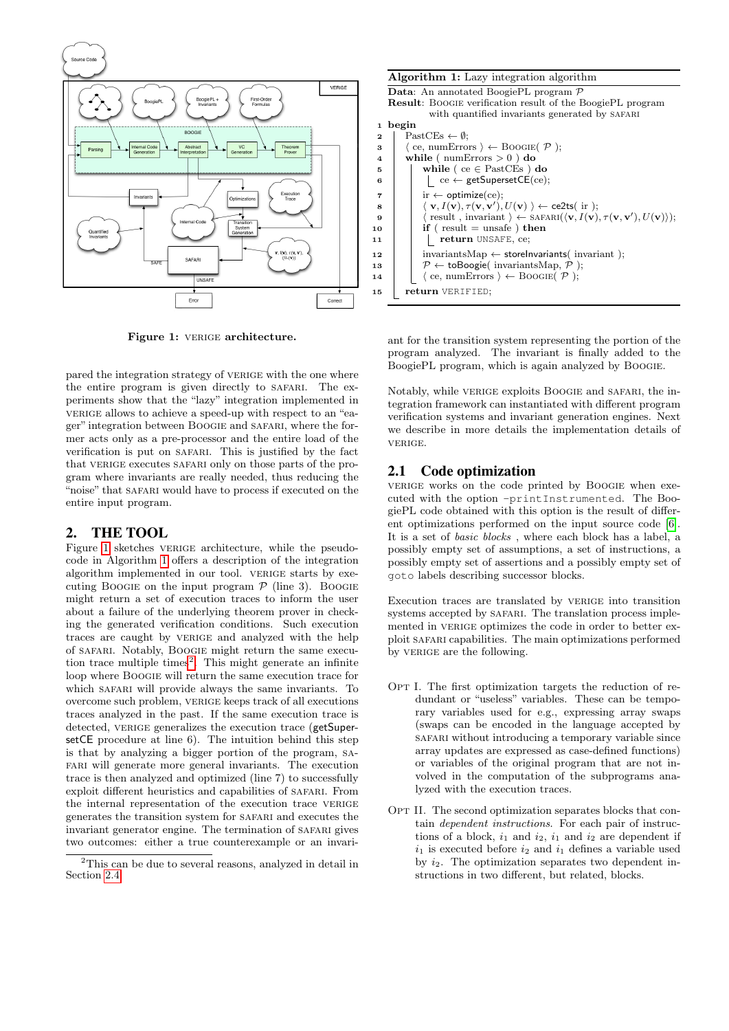

<span id="page-1-0"></span>Figure 1: VERIGE architecture.

pared the integration strategy of VERIGE with the one where the entire program is given directly to SAFARI. The experiments show that the "lazy" integration implemented in verige allows to achieve a speed-up with respect to an "eager" integration between Boogie and safari, where the former acts only as a pre-processor and the entire load of the verification is put on safari. This is justified by the fact that VERIGE executes SAFARI only on those parts of the program where invariants are really needed, thus reducing the "noise" that SAFARI would have to process if executed on the entire input program.

# 2. THE TOOL

Figure [1](#page-1-0) sketches VERIGE architecture, while the pseudocode in Algorithm [1](#page-1-1) offers a description of the integration algorithm implemented in our tool. VERIGE starts by executing Boogle on the input program  $P$  (line 3). Boogle might return a set of execution traces to inform the user about a failure of the underlying theorem prover in checking the generated verification conditions. Such execution traces are caught by verige and analyzed with the help of safari. Notably, Boogie might return the same execu-tion trace multiple times<sup>[2](#page-1-2)</sup>. This might generate an infinite loop where Boogie will return the same execution trace for which SAFARI will provide always the same invariants. To overcome such problem, verige keeps track of all executions traces analyzed in the past. If the same execution trace is detected, VERIGE generalizes the execution trace (getSupersetCE procedure at line 6). The intuition behind this step is that by analyzing a bigger portion of the program, safari will generate more general invariants. The execution trace is then analyzed and optimized (line 7) to successfully exploit different heuristics and capabilities of safari. From the internal representation of the execution trace VERIGE generates the transition system for safari and executes the invariant generator engine. The termination of SAFARI gives two outcomes: either a true counterexample or an invari-

|                | <b>Algorithm 1:</b> Lazy integration algorithm                                                                    |
|----------------|-------------------------------------------------------------------------------------------------------------------|
|                | <b>Data:</b> An annotated BoogiePL program $\mathcal{P}$                                                          |
|                | <b>Result:</b> BOOGIE verification result of the BoogiePL program                                                 |
|                | with quantified invariants generated by SAFARI                                                                    |
| 1              | begin                                                                                                             |
| $\overline{2}$ | $\text{FastCEs} \leftarrow \emptyset$                                                                             |
| 3              | $\langle$ ce, numErrors $\rangle \leftarrow$ BOOGIE $(\mathcal{P})$ ;                                             |
| 4              | while ( $numErrors > 0$ ) do                                                                                      |
| 5              | while ( $ce \in$ PastCEs) do                                                                                      |
| 6              | $\vert$ ce $\leftarrow$ getSupersetCE(ce);                                                                        |
| $\overline{7}$ | ir $\leftarrow$ optimize(ce);                                                                                     |
| 8              | $\langle \mathbf{v}, I(\mathbf{v}), \tau(\mathbf{v}, \mathbf{v}'), U(\mathbf{v}) \rangle \leftarrow$ ce2ts( ir ); |
| 9              | $\langle$ result, invariant $\rangle \leftarrow$ SAFARI $(\langle v, I(v), \tau(v, v'), U(v) \rangle);$           |
| 10             | if ( $result = unsafe$ ) then                                                                                     |
| 11             | return UNSAFE, ce;                                                                                                |
| 12             | $invariantsMap \leftarrow storeInvariants( invariant);$                                                           |
| 13             | $\mathcal{P} \leftarrow$ toBoogie( invariantsMap, $\mathcal{P}$ );                                                |
| 14             | $\langle$ ce, numErrors $\rangle \leftarrow$ BOOGIE $(\mathcal{P})$ ;                                             |
| 15             | return VERIFIED;                                                                                                  |

<span id="page-1-1"></span>ant for the transition system representing the portion of the program analyzed. The invariant is finally added to the BoogiePL program, which is again analyzed by Boogie.

Notably, while verige exploits Boogie and safari, the integration framework can instantiated with different program verification systems and invariant generation engines. Next we describe in more details the implementation details of verige.

# 2.1 Code optimization

verige works on the code printed by BOOGIE when executed with the option -printInstrumented. The BoogiePL code obtained with this option is the result of different optimizations performed on the input source code [\[6\]](#page-3-8). It is a set of basic blocks , where each block has a label, a possibly empty set of assumptions, a set of instructions, a possibly empty set of assertions and a possibly empty set of goto labels describing successor blocks.

Execution traces are translated by verige into transition systems accepted by SAFARI. The translation process implemented in VERIGE optimizes the code in order to better exploit safari capabilities. The main optimizations performed by VERIGE are the following.

- OPT I. The first optimization targets the reduction of redundant or "useless" variables. These can be temporary variables used for e.g., expressing array swaps (swaps can be encoded in the language accepted by safari without introducing a temporary variable since array updates are expressed as case-defined functions) or variables of the original program that are not involved in the computation of the subprograms analyzed with the execution traces.
- OPT II. The second optimization separates blocks that contain dependent instructions. For each pair of instructions of a block,  $i_1$  and  $i_2$ ,  $i_1$  and  $i_2$  are dependent if  $i_1$  is executed before  $i_2$  and  $i_1$  defines a variable used by  $i_2$ . The optimization separates two dependent instructions in two different, but related, blocks.

<span id="page-1-2"></span><sup>2</sup>This can be due to several reasons, analyzed in detail in Section [2.4.](#page-2-0)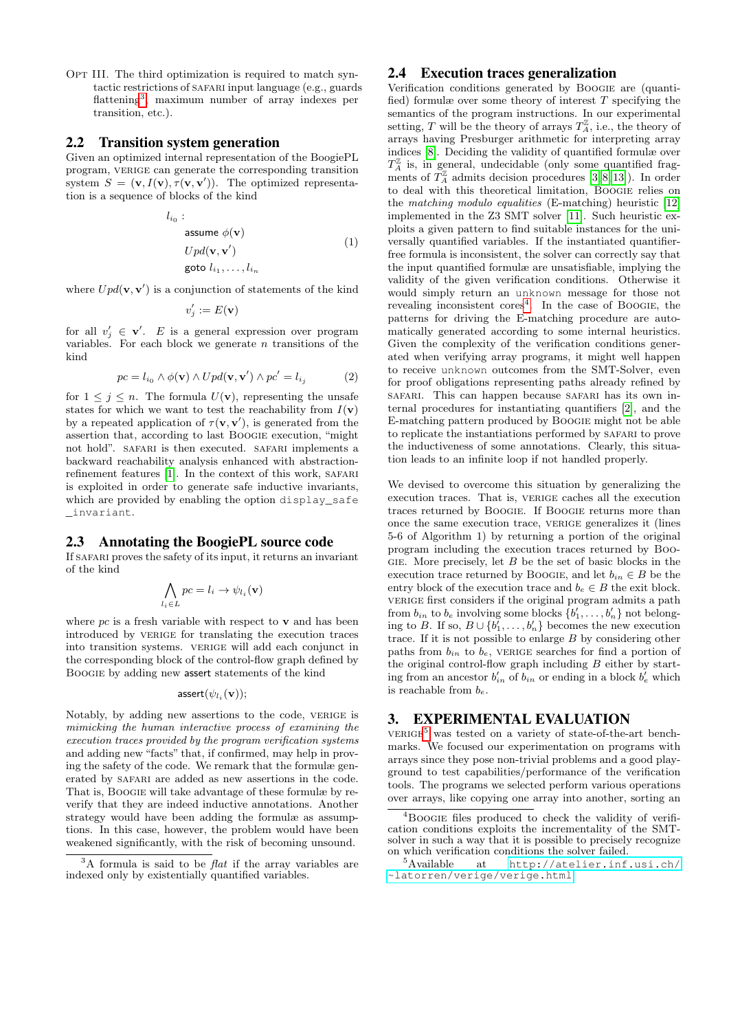OPT III. The third optimization is required to match syntactic restrictions of SAFARI input language (e.g., guards flattening<sup>[3](#page-2-1)</sup>, maximum number of array indexes per transition, etc.).

#### 2.2 Transition system generation

Given an optimized internal representation of the BoogiePL program, VERIGE can generate the corresponding transition system  $S = (\mathbf{v}, I(\mathbf{v}), \tau(\mathbf{v}, \mathbf{v}'))$ . The optimized representation is a sequence of blocks of the kind

$$
l_{i_0}:
$$
  
\n
$$
u_{i_0} \in \phi(\mathbf{v})
$$
  
\n
$$
Upd(\mathbf{v}, \mathbf{v}')
$$
  
\n
$$
y(t_1, \ldots, t_{i_n})
$$
  
\n
$$
u_{i_1}, \ldots, i_{i_n}
$$
  
\n
$$
(1)
$$

where  $Upd(\mathbf{v}, \mathbf{v}')$  is a conjunction of statements of the kind

$$
v'_j:=E(\mathbf{v})
$$

for all  $v'_j \in \mathbf{v}'$ . E is a general expression over program variables. For each block we generate  $n$  transitions of the kind

$$
pc = l_{i_0} \wedge \phi(\mathbf{v}) \wedge Upd(\mathbf{v}, \mathbf{v}') \wedge pc' = l_{i_j}
$$
 (2)

for  $1 \leq j \leq n$ . The formula  $U(\mathbf{v})$ , representing the unsafe states for which we want to test the reachability from  $I(\mathbf{v})$ by a repeated application of  $\tau(\mathbf{v}, \mathbf{v}')$ , is generated from the assertion that, according to last Boogie execution, "might not hold". safari is then executed. safari implements a backward reachability analysis enhanced with abstraction-refinement features [\[1\]](#page-3-9). In the context of this work, SAFARI is exploited in order to generate safe inductive invariants, which are provided by enabling the option display\_safe \_invariant.

#### 2.3 Annotating the BoogiePL source code

If safari proves the safety of its input, it returns an invariant of the kind

$$
\bigwedge_{l_i \in L} pc = l_i \to \psi_{l_i}(\mathbf{v})
$$

where  $pc$  is a fresh variable with respect to  $\bf{v}$  and has been introduced by VERIGE for translating the execution traces into transition systems. verige will add each conjunct in the corresponding block of the control-flow graph defined by Boogie by adding new assert statements of the kind

#### $\mathsf{assert}(\psi_{l_i}(\mathbf{v}));$

Notably, by adding new assertions to the code, verige is mimicking the human interactive process of examining the execution traces provided by the program verification systems and adding new "facts" that, if confirmed, may help in proving the safety of the code. We remark that the formulæ generated by SAFARI are added as new assertions in the code. That is, Boogie will take advantage of these formulæ by reverify that they are indeed inductive annotations. Another strategy would have been adding the formulæ as assumptions. In this case, however, the problem would have been weakened significantly, with the risk of becoming unsound.

#### <span id="page-2-0"></span>2.4 Execution traces generalization

Verification conditions generated by Boogie are (quantified) formulæ over some theory of interest  $T$  specifying the semantics of the program instructions. In our experimental setting, T will be the theory of arrays  $T_A^{\mathbb{Z}}$ , i.e., the theory of arrays having Presburger arithmetic for interpreting array indices [\[8\]](#page-3-10). Deciding the validity of quantified formulæ over  $T_A^{\mathbb{Z}}$  is, in general, undecidable (only some quantified fragments of  $T_A^{\mathbb{Z}}$  admits decision procedures [\[3,](#page-3-11) [8,](#page-3-10) [13\]](#page-3-12)). In order to deal with this theoretical limitation, Boogie relies on the matching modulo equalities (E-matching) heuristic [\[12\]](#page-3-13) implemented in the Z3 SMT solver [\[11\]](#page-3-14). Such heuristic exploits a given pattern to find suitable instances for the universally quantified variables. If the instantiated quantifierfree formula is inconsistent, the solver can correctly say that the input quantified formulæ are unsatisfiable, implying the validity of the given verification conditions. Otherwise it would simply return an unknown message for those not revealing inconsistent cores<sup>[4](#page-2-2)</sup>. In the case of BOOGIE, the patterns for driving the E-matching procedure are automatically generated according to some internal heuristics. Given the complexity of the verification conditions generated when verifying array programs, it might well happen to receive unknown outcomes from the SMT-Solver, even for proof obligations representing paths already refined by safari. This can happen because safari has its own internal procedures for instantiating quantifiers [\[2\]](#page-3-1), and the E-matching pattern produced by Boogie might not be able to replicate the instantiations performed by safari to prove the inductiveness of some annotations. Clearly, this situation leads to an infinite loop if not handled properly.

We devised to overcome this situation by generalizing the execution traces. That is, verige caches all the execution traces returned by Boogie. If Boogie returns more than once the same execution trace, verige generalizes it (lines 5-6 of Algorithm 1) by returning a portion of the original program including the execution traces returned by Boo-GIE. More precisely, let  $B$  be the set of basic blocks in the execution trace returned by BOOGIE, and let  $b_{in} \in B$  be the entry block of the execution trace and  $b_e \in B$  the exit block. vertige first considers if the original program admits a path from  $b_{in}$  to  $b_e$  involving some blocks  $\{b'_1, \ldots, b'_n\}$  not belonging to B. If so,  $B \cup \{b_1^r, \ldots, b_n^r\}$  becomes the new execution trace. If it is not possible to enlarge  $B$  by considering other paths from  $b_{in}$  to  $b_e$ , verige searches for find a portion of the original control-flow graph including  $B$  either by starting from an ancestor  $b'_{in}$  of  $b_{in}$  or ending in a block  $b'_{e}$  which is reachable from  $b_e$ .

## 3. EXPERIMENTAL EVALUATION

 $VERIGE<sup>5</sup>$  $VERIGE<sup>5</sup>$  $VERIGE<sup>5</sup>$  was tested on a variety of state-of-the-art benchmarks. We focused our experimentation on programs with arrays since they pose non-trivial problems and a good playground to test capabilities/performance of the verification tools. The programs we selected perform various operations over arrays, like copying one array into another, sorting an

<span id="page-2-1"></span> $3A$  formula is said to be *flat* if the array variables are indexed only by existentially quantified variables.

<span id="page-2-2"></span><sup>&</sup>lt;sup>4</sup>Boogie files produced to check the validity of verification conditions exploits the incrementality of the SMTsolver in such a way that it is possible to precisely recognize on which verification conditions the solver failed.<br> $5$ Available at http://atelier.inf

<span id="page-2-3"></span>at [http://atelier.inf.usi.ch/](http://atelier.inf.usi.ch/~latorren/verige/verige.html) [~latorren/verige/verige.html](http://atelier.inf.usi.ch/~latorren/verige/verige.html)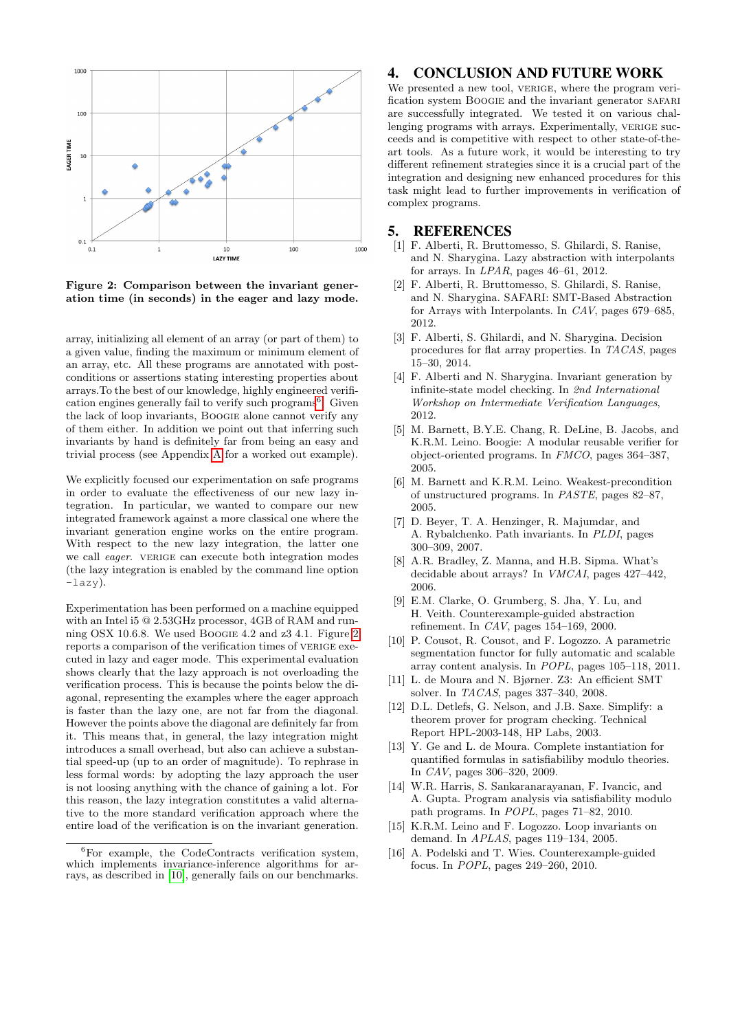

<span id="page-3-16"></span>Figure 2: Comparison between the invariant generation time (in seconds) in the eager and lazy mode.

array, initializing all element of an array (or part of them) to a given value, finding the maximum or minimum element of an array, etc. All these programs are annotated with postconditions or assertions stating interesting properties about arrays.To the best of our knowledge, highly engineered verifi-cation engines generally fail to verify such programs<sup>[6](#page-3-15)</sup>. Given the lack of loop invariants, Boogie alone cannot verify any of them either. In addition we point out that inferring such invariants by hand is definitely far from being an easy and trivial process (see Appendix [A](#page-4-0) for a worked out example).

We explicitly focused our experimentation on safe programs in order to evaluate the effectiveness of our new lazy integration. In particular, we wanted to compare our new integrated framework against a more classical one where the invariant generation engine works on the entire program. With respect to the new lazy integration, the latter one we call *eager*. VERIGE can execute both integration modes (the lazy integration is enabled by the command line option -lazy).

Experimentation has been performed on a machine equipped with an Intel i5 @ 2.53GHz processor, 4GB of RAM and running OSX 10.6.8. We used Boogie 4.2 and z3 4.1. Figure [2](#page-3-16) reports a comparison of the verification times of VERIGE executed in lazy and eager mode. This experimental evaluation shows clearly that the lazy approach is not overloading the verification process. This is because the points below the diagonal, representing the examples where the eager approach is faster than the lazy one, are not far from the diagonal. However the points above the diagonal are definitely far from it. This means that, in general, the lazy integration might introduces a small overhead, but also can achieve a substantial speed-up (up to an order of magnitude). To rephrase in less formal words: by adopting the lazy approach the user is not loosing anything with the chance of gaining a lot. For this reason, the lazy integration constitutes a valid alternative to the more standard verification approach where the entire load of the verification is on the invariant generation.

## 4. CONCLUSION AND FUTURE WORK

We presented a new tool, VERIGE, where the program verification system BOOGIE and the invariant generator SAFARI are successfully integrated. We tested it on various challenging programs with arrays. Experimentally, VERIGE succeeds and is competitive with respect to other state-of-theart tools. As a future work, it would be interesting to try different refinement strategies since it is a crucial part of the integration and designing new enhanced procedures for this task might lead to further improvements in verification of complex programs.

## 5. REFERENCES

- <span id="page-3-9"></span>[1] F. Alberti, R. Bruttomesso, S. Ghilardi, S. Ranise, and N. Sharygina. Lazy abstraction with interpolants for arrays. In LPAR, pages 46–61, 2012.
- <span id="page-3-1"></span>[2] F. Alberti, R. Bruttomesso, S. Ghilardi, S. Ranise, and N. Sharygina. SAFARI: SMT-Based Abstraction for Arrays with Interpolants. In CAV, pages 679–685, 2012.
- <span id="page-3-11"></span>[3] F. Alberti, S. Ghilardi, and N. Sharygina. Decision procedures for flat array properties. In TACAS, pages 15–30, 2014.
- [4] F. Alberti and N. Sharygina. Invariant generation by infinite-state model checking. In 2nd International Workshop on Intermediate Verification Languages, 2012.
- <span id="page-3-0"></span>[5] M. Barnett, B.Y.E. Chang, R. DeLine, B. Jacobs, and K.R.M. Leino. Boogie: A modular reusable verifier for object-oriented programs. In FMCO, pages 364–387, 2005.
- <span id="page-3-8"></span>[6] M. Barnett and K.R.M. Leino. Weakest-precondition of unstructured programs. In PASTE, pages 82–87, 2005.
- <span id="page-3-7"></span>[7] D. Beyer, T. A. Henzinger, R. Majumdar, and A. Rybalchenko. Path invariants. In PLDI, pages 300–309, 2007.
- <span id="page-3-10"></span>[8] A.R. Bradley, Z. Manna, and H.B. Sipma. What's decidable about arrays? In VMCAI, pages 427–442, 2006.
- <span id="page-3-6"></span>[9] E.M. Clarke, O. Grumberg, S. Jha, Y. Lu, and H. Veith. Counterexample-guided abstraction refinement. In CAV, pages 154–169, 2000.
- <span id="page-3-2"></span>[10] P. Cousot, R. Cousot, and F. Logozzo. A parametric segmentation functor for fully automatic and scalable array content analysis. In POPL, pages 105–118, 2011.
- <span id="page-3-14"></span>[11] L. de Moura and N. Bjørner. Z3: An efficient SMT solver. In TACAS, pages 337–340, 2008.
- <span id="page-3-13"></span>[12] D.L. Detlefs, G. Nelson, and J.B. Saxe. Simplify: a theorem prover for program checking. Technical Report HPL-2003-148, HP Labs, 2003.
- <span id="page-3-12"></span>[13] Y. Ge and L. de Moura. Complete instantiation for quantified formulas in satisfiabiliby modulo theories. In CAV, pages 306–320, 2009.
- <span id="page-3-4"></span>[14] W.R. Harris, S. Sankaranarayanan, F. Ivancic, and A. Gupta. Program analysis via satisfiability modulo path programs. In POPL, pages 71–82, 2010.
- <span id="page-3-5"></span>[15] K.R.M. Leino and F. Logozzo. Loop invariants on demand. In APLAS, pages 119–134, 2005.
- <span id="page-3-3"></span>[16] A. Podelski and T. Wies. Counterexample-guided focus. In POPL, pages 249–260, 2010.

<span id="page-3-15"></span> ${}^{6}$ For example, the CodeContracts verification system, which implements invariance-inference algorithms for arrays, as described in [\[10\]](#page-3-2), generally fails on our benchmarks.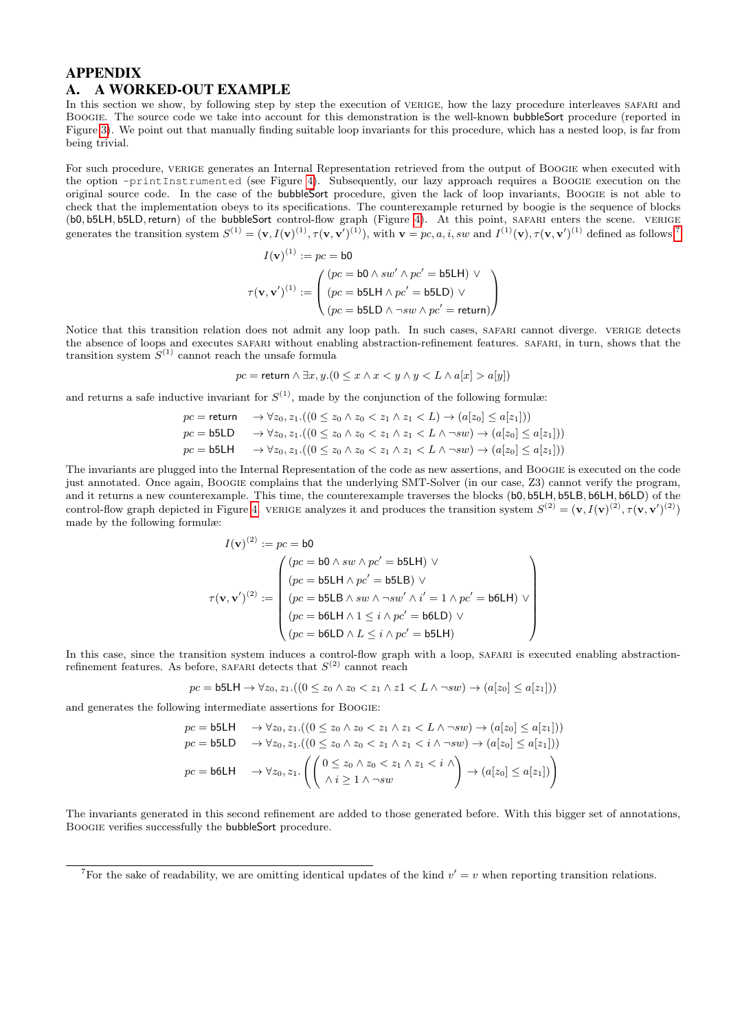# <span id="page-4-0"></span>APPENDIX A. A WORKED-OUT EXAMPLE

In this section we show, by following step by step the execution of VERIGE, how the lazy procedure interleaves SAFARI and Boogie. The source code we take into account for this demonstration is the well-known bubbleSort procedure (reported in Figure [3\)](#page-5-0). We point out that manually finding suitable loop invariants for this procedure, which has a nested loop, is far from being trivial.

For such procedure, VERIGE generates an Internal Representation retrieved from the output of BOOGIE when executed with the option -printInstrumented (see Figure [4\)](#page-5-1). Subsequently, our lazy approach requires a Boogie execution on the original source code. In the case of the bubbleSort procedure, given the lack of loop invariants, Boogie is not able to check that the implementation obeys to its specifications. The counterexample returned by boogie is the sequence of blocks (b0, b5LH, b5LD,return) of the bubbleSort control-flow graph (Figure [4\)](#page-5-1). At this point, safari enters the scene. verige generates the transition system  $S^{(1)} = (\mathbf{v}, I(\mathbf{v})^{(1)}, \tau(\mathbf{v}, \mathbf{v}')^{(1)})$ , with  $\mathbf{v} = pc, a, i$ , sw and  $I^{(1)}(\mathbf{v}), \tau(\mathbf{v}, \mathbf{v}')^{(1)}$  defined as follows:<sup>[7](#page-4-1)</sup>

$$
I(\mathbf{v})^{(1)} := pc = \mathbf{b0}
$$

$$
\tau(\mathbf{v}, \mathbf{v}')^{(1)} := \begin{pmatrix} (pc = \mathbf{b0} \land sw' \land pc' = \mathbf{b5} \mathbf{L} \mathbf{H}) \lor \\ (pc = \mathbf{b5} \mathbf{L} \mathbf{H} \land pc' = \mathbf{b5} \mathbf{L} \mathbf{D}) \lor \\ (pc = \mathbf{b5} \mathbf{L} \mathbf{D} \land \neg sw \land pc' = \mathbf{return}) \end{pmatrix}
$$

Notice that this transition relation does not admit any loop path. In such cases, SAFARI cannot diverge. VERIGE detects the absence of loops and executes SAFARI without enabling abstraction-refinement features. SAFARI, in turn, shows that the transition system  $S^{(1)}$  cannot reach the unsafe formula

$$
pc = \text{return } \land \exists x, y. (0 \le x \land x < y \land y < L \land a[x] > a[y])
$$

and returns a safe inductive invariant for  $S^{(1)}$ , made by the conjunction of the following formulæ:

$$
pc = \text{return} \rightarrow \forall z_0, z_1. ((0 \le z_0 \land z_0 < z_1 \land z_1 < L) \rightarrow (a[z_0] \le a[z_1]))
$$
\n
$$
pc = \text{b5LD} \rightarrow \forall z_0, z_1. ((0 \le z_0 \land z_0 < z_1 \land z_1 < L \land \neg sw) \rightarrow (a[z_0] \le a[z_1]))
$$
\n
$$
pc = \text{b5LH} \rightarrow \forall z_0, z_1. ((0 \le z_0 \land z_0 < z_1 \land z_1 < L \land \neg sw) \rightarrow (a[z_0] \le a[z_1]))
$$

The invariants are plugged into the Internal Representation of the code as new assertions, and Boogie is executed on the code just annotated. Once again, Boogie complains that the underlying SMT-Solver (in our case, Z3) cannot verify the program, and it returns a new counterexample. This time, the counterexample traverses the blocks (b0, b5LH, b5LB, b6LH, b6LD) of the control-flow graph depicted in Figure [4.](#page-5-1) VERIGE analyzes it and produces the transition system  $S^{(2)} = (\mathbf{v}, I(\mathbf{v})^{(2)}, \tau(\mathbf{v}, \mathbf{v}')^{(2)})$ made by the following formulæ:

$$
I(\mathbf{v})^{(2)} := pc = \mathbf{b0}
$$
  

$$
\tau(\mathbf{v}, \mathbf{v}')^{(2)} := \begin{pmatrix} (pc = \mathbf{b0} \land sw \land pc' = \mathbf{b5LH}) \lor (pc = \mathbf{b5LH} \land pc' = \mathbf{b5LB}) \lor (pc = \mathbf{b5LB} \land sw \land \neg sw' \land i' = 1 \land pc' = \mathbf{b6LH}) \lor (pc = \mathbf{b6LH} \land 1 \leq i \land pc' = \mathbf{b6LD} ) \lor (pc = \mathbf{b6LD} \land L \leq i \land pc' = \mathbf{b5LH}) \end{pmatrix}
$$

In this case, since the transition system induces a control-flow graph with a loop, SAFARI is executed enabling abstractionrefinement features. As before, SAFARI detects that  $S^{(2)}$  cannot reach

$$
pc = \mathsf{b5LH} \to \forall z_0, z_1. ((0 \leq z_0 \land z_0 < z_1 \land z1 < L \land \neg sw) \to (a[z_0] \leq a[z_1]))
$$

and generates the following intermediate assertions for Boogie:

$$
pc = \mathsf{b5LD} \longrightarrow \forall z_0, z_1.((0 \le z_0 \land z_0 < z_1 \land z_1 < L \land \neg sw) \to (a[z_0] \le a[z_1]))
$$
  
\n
$$
pc = \mathsf{b5LD} \longrightarrow \forall z_0, z_1.((0 \le z_0 \land z_0 < z_1 \land z_1 < i \land \neg sw) \to (a[z_0] \le a[z_1]))
$$
  
\n
$$
pc = \mathsf{b6LH} \longrightarrow \forall z_0, z_1.(\left(\begin{pmatrix}0 \le z_0 \land z_0 < z_1 \land z_1 < i \land \neg sw\\ \land i \ge 1 \land \neg sw\end{pmatrix} \to (a[z_0] \le a[z_1])\right)
$$

The invariants generated in this second refinement are added to those generated before. With this bigger set of annotations, Boogie verifies successfully the bubbleSort procedure.

<span id="page-4-1"></span><sup>&</sup>lt;sup>7</sup>For the sake of readability, we are omitting identical updates of the kind  $v' = v$  when reporting transition relations.